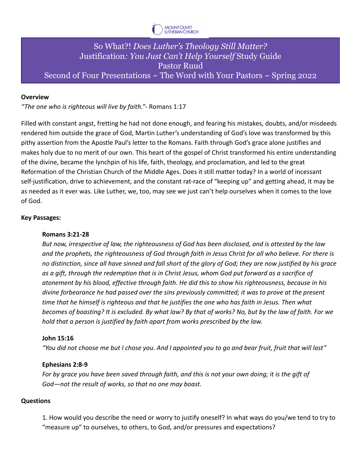

# So What?! *Does Luther's Theology Still Matter?* Justification*: You Just Can't Help Yourself* Study Guide Pastor Ruud Second of Four Presentations ~ The Word with Your Pastors ~ Spring 2022

# **Overview**

*"The one who is righteous will live by faith."*- Romans 1:17

Filled with constant angst, fretting he had not done enough, and fearing his mistakes, doubts, and/or misdeeds rendered him outside the grace of God, Martin Luther's understanding of God's love was transformed by this pithy assertion from the Apostle Paul's letter to the Romans. Faith through God's grace alone justifies and makes holy due to no merit of our own. This heart of the gospel of Christ transformed his entire understanding of the divine, became the lynchpin of his life, faith, theology, and proclamation, and led to the great Reformation of the Christian Church of the Middle Ages. Does it still matter today? In a world of incessant self-justification, drive to achievement, and the constant rat-race of "keeping up" and getting ahead, it may be as needed as it ever was. Like Luther, we, too, may see we just can't help ourselves when it comes to the love of God.

## **Key Passages:**

#### **Romans 3:21-28**

*But now, irrespective of law, the righteousness of God has been disclosed, and is attested by the law and the prophets, the righteousness of God through faith in Jesus Christ for all who believe. For there is no distinction, since all have sinned and fall short of the glory of God; they are now justified by his grace as a gift, through the redemption that is in Christ Jesus, whom God put forward as a sacrifice of atonement by his blood, effective through faith. He did this to show his righteousness, because in his divine forbearance he had passed over the sins previously committed; it was to prove at the present time that he himself is righteous and that he justifies the one who has faith in Jesus. Then what becomes of boasting? It is excluded. By what law? By that of works? No, but by the law of faith. For we hold that a person is justified by faith apart from works prescribed by the law.*

#### **John 15:16**

*"You did not choose me but I chose you. And I appointed you to go and bear fruit, fruit that will last"*

#### **Ephesians 2:8-9**

*For by grace you have been saved through faith, and this is not your own doing; it is the gift of God—not the result of works, so that no one may boast.*

### **Questions**

1. How would you describe the need or worry to justify oneself? In what ways do you/we tend to try to "measure up" to ourselves, to others, to God, and/or pressures and expectations?